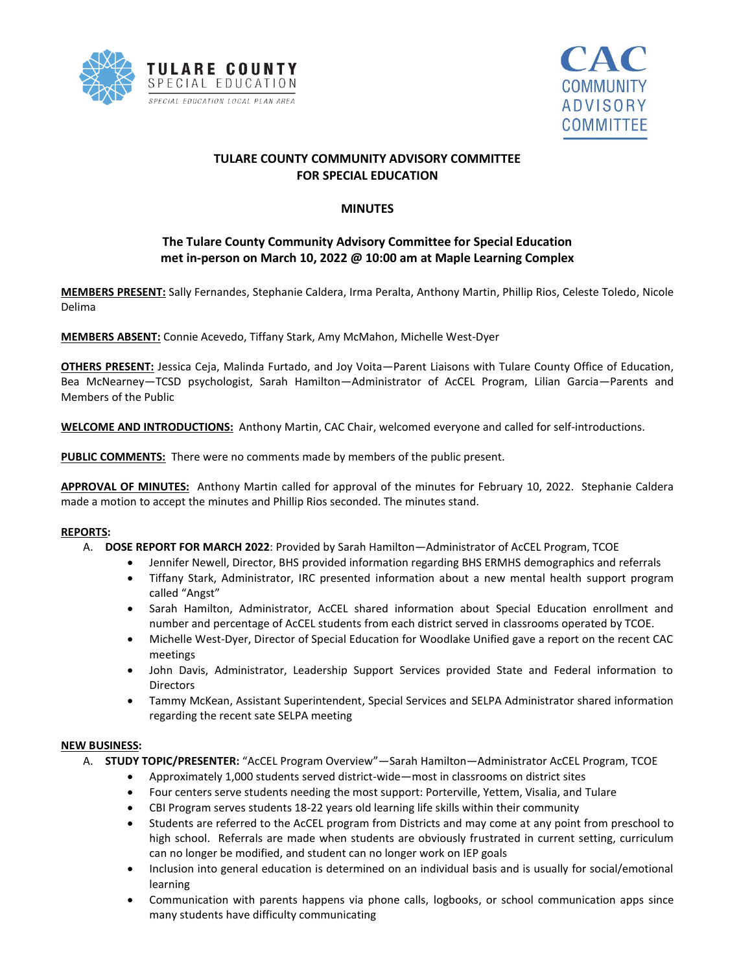



## **TULARE COUNTY COMMUNITY ADVISORY COMMITTEE FOR SPECIAL EDUCATION**

### **MINUTES**

# **The Tulare County Community Advisory Committee for Special Education met in-person on March 10, 2022 @ 10:00 am at Maple Learning Complex**

**MEMBERS PRESENT:** Sally Fernandes, Stephanie Caldera, Irma Peralta, Anthony Martin, Phillip Rios, Celeste Toledo, Nicole Delima

**MEMBERS ABSENT:** Connie Acevedo, Tiffany Stark, Amy McMahon, Michelle West-Dyer

**OTHERS PRESENT:** Jessica Ceja, Malinda Furtado, and Joy Voita—Parent Liaisons with Tulare County Office of Education, Bea McNearney—TCSD psychologist, Sarah Hamilton—Administrator of AcCEL Program, Lilian Garcia—Parents and Members of the Public

**WELCOME AND INTRODUCTIONS:** Anthony Martin, CAC Chair, welcomed everyone and called for self-introductions.

**PUBLIC COMMENTS:** There were no comments made by members of the public present.

**APPROVAL OF MINUTES:** Anthony Martin called for approval of the minutes for February 10, 2022. Stephanie Caldera made a motion to accept the minutes and Phillip Rios seconded. The minutes stand.

#### **REPORTS:**

- A. **DOSE REPORT FOR MARCH 2022**: Provided by Sarah Hamilton—Administrator of AcCEL Program, TCOE
	- Jennifer Newell, Director, BHS provided information regarding BHS ERMHS demographics and referrals
	- Tiffany Stark, Administrator, IRC presented information about a new mental health support program called "Angst"
	- Sarah Hamilton, Administrator, AcCEL shared information about Special Education enrollment and number and percentage of AcCEL students from each district served in classrooms operated by TCOE.
	- Michelle West-Dyer, Director of Special Education for Woodlake Unified gave a report on the recent CAC meetings
	- John Davis, Administrator, Leadership Support Services provided State and Federal information to Directors
	- Tammy McKean, Assistant Superintendent, Special Services and SELPA Administrator shared information regarding the recent sate SELPA meeting

#### **NEW BUSINESS:**

- A. **STUDY TOPIC/PRESENTER:** "AcCEL Program Overview"—Sarah Hamilton—Administrator AcCEL Program, TCOE
	- Approximately 1,000 students served district-wide—most in classrooms on district sites
	- Four centers serve students needing the most support: Porterville, Yettem, Visalia, and Tulare
	- CBI Program serves students 18-22 years old learning life skills within their community
	- Students are referred to the AcCEL program from Districts and may come at any point from preschool to high school. Referrals are made when students are obviously frustrated in current setting, curriculum can no longer be modified, and student can no longer work on IEP goals
	- Inclusion into general education is determined on an individual basis and is usually for social/emotional learning
	- Communication with parents happens via phone calls, logbooks, or school communication apps since many students have difficulty communicating